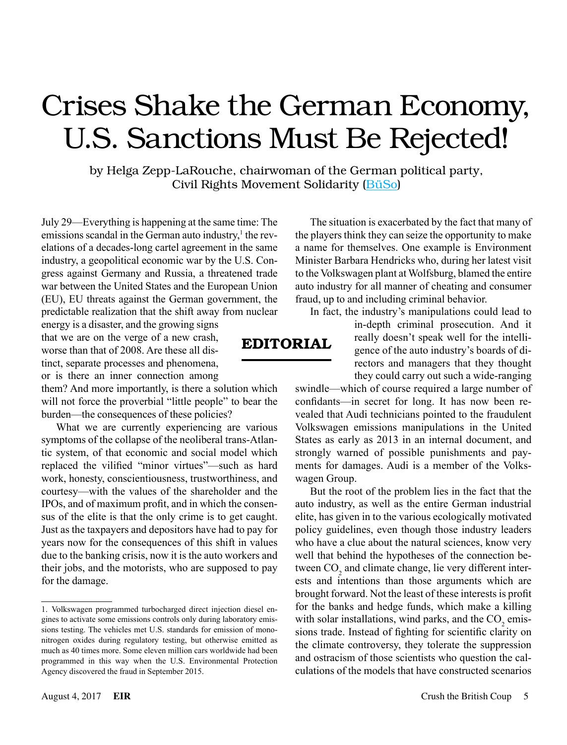## Crises Shake the German Economy, U.S. Sanctions Must Be Rejected!

by Helga Zepp-LaRouche, chairwoman of the German political party, Civil Rights Movement Solidarity ([BüSo\)](http://www.bueso.de/)

July 29—Everything is happening at the same time: The emissions scandal in the German auto industry,<sup>1</sup> the revelations of a decades-long cartel agreement in the same industry, a geopolitical economic war by the U.S. Congress against Germany and Russia, a threatened trade war between the United States and the European Union (EU), EU threats against the German government, the predictable realization that the shift away from nuclear

energy is a disaster, and the growing signs that we are on the verge of a new crash, worse than that of 2008. Are these all distinct, separate processes and phenomena, or is there an inner connection among

them? And more importantly, is there a solution which will not force the proverbial "little people" to bear the burden—the consequences of these policies?

What we are currently experiencing are various symptoms of the collapse of the neoliberal trans-Atlantic system, of that economic and social model which replaced the vilified "minor virtues"—such as hard work, honesty, conscientiousness, trustworthiness, and courtesy—with the values of the shareholder and the IPOs, and of maximum profit, and in which the consensus of the elite is that the only crime is to get caught. Just as the taxpayers and depositors have had to pay for years now for the consequences of this shift in values due to the banking crisis, now it is the auto workers and their jobs, and the motorists, who are supposed to pay for the damage.

The situation is exacerbated by the fact that many of the players think they can seize the opportunity to make a name for themselves. One example is Environment Minister Barbara Hendricks who, during her latest visit to the Volkswagen plant at Wolfsburg, blamed the entire auto industry for all manner of cheating and consumer fraud, up to and including criminal behavior.

In fact, the industry's manipulations could lead to

in-depth criminal prosecution. And it really doesn't speak well for the intelligence of the auto industry's boards of directors and managers that they thought they could carry out such a wide-ranging

swindle—which of course required a large number of confidants—in secret for long. It has now been revealed that Audi technicians pointed to the fraudulent Volkswagen emissions manipulations in the United States as early as 2013 in an internal document, and strongly warned of possible punishments and payments for damages. Audi is a member of the Volkswagen Group.

But the root of the problem lies in the fact that the auto industry, as well as the entire German industrial elite, has given in to the various ecologically motivated policy guidelines, even though those industry leaders who have a clue about the natural sciences, know very well that behind the hypotheses of the connection between  $CO<sub>2</sub>$  and climate change, lie very different interests and intentions than those arguments which are brought forward. Not the least of these interests is profit for the banks and hedge funds, which make a killing with solar installations, wind parks, and the  $CO<sub>2</sub>$  emissions trade. Instead of fighting for scientific clarity on the climate controversy, they tolerate the suppression and ostracism of those scientists who question the calculations of the models that have constructed scenarios

## EDITORIAL

<sup>1.</sup> Volkswagen programmed turbocharged direct injection diesel engines to activate some emissions controls only during laboratory emissions testing. The vehicles met U.S. standards for emission of mononitrogen oxides during regulatory testing, but otherwise emitted as much as 40 times more. Some eleven million cars worldwide had been programmed in this way when the U.S. Environmental Protection Agency discovered the fraud in September 2015.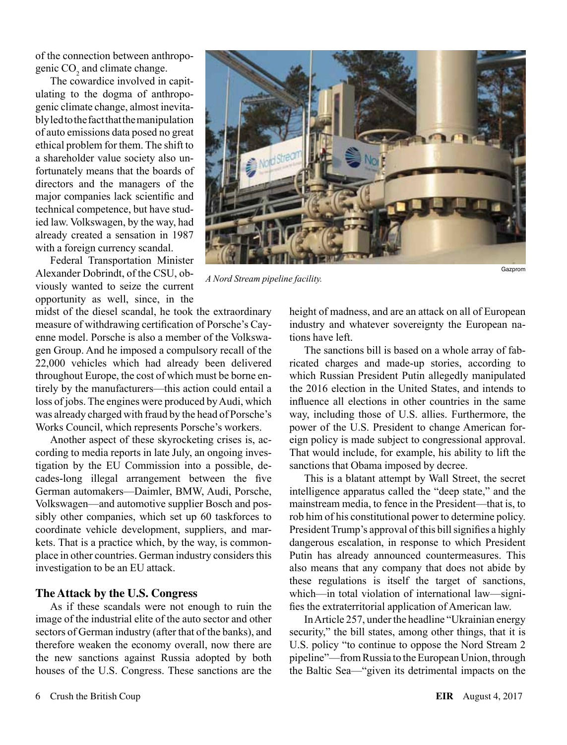of the connection between anthropogenic  $CO<sub>2</sub>$  and climate change.

The cowardice involved in capitulating to the dogma of anthropogenic climate change, almost inevitably led to the fact that the manipulation of auto emissions data posed no great ethical problem for them. The shift to a shareholder value society also unfortunately means that the boards of directors and the managers of the major companies lack scientific and technical competence, but have studied law. Volkswagen, by the way, had already created a sensation in 1987 with a foreign currency scandal.

Federal Transportation Minister Alexander Dobrindt, of the CSU, obviously wanted to seize the current opportunity as well, since, in the

*A Nord Stream pipeline facility.*

midst of the diesel scandal, he took the extraordinary measure of withdrawing certification of Porsche's Cayenne model. Porsche is also a member of the Volkswagen Group. And he imposed a compulsory recall of the 22,000 vehicles which had already been delivered throughout Europe, the cost of which must be borne entirely by the manufacturers—this action could entail a loss of jobs. The engines were produced by Audi, which was already charged with fraud by the head of Porsche's Works Council, which represents Porsche's workers.

Another aspect of these skyrocketing crises is, according to media reports in late July, an ongoing investigation by the EU Commission into a possible, decades-long illegal arrangement between the five German automakers—Daimler, BMW, Audi, Porsche, Volkswagen—and automotive supplier Bosch and possibly other companies, which set up 60 taskforces to coordinate vehicle development, suppliers, and markets. That is a practice which, by the way, is commonplace in other countries. German industry considers this investigation to be an EU attack.

## **The Attack by the U.S. Congress**

As if these scandals were not enough to ruin the image of the industrial elite of the auto sector and other sectors of German industry (after that of the banks), and therefore weaken the economy overall, now there are the new sanctions against Russia adopted by both houses of the U.S. Congress. These sanctions are the height of madness, and are an attack on all of European industry and whatever sovereignty the European nations have left.

Gazprom

The sanctions bill is based on a whole array of fabricated charges and made-up stories, according to which Russian President Putin allegedly manipulated the 2016 election in the United States, and intends to influence all elections in other countries in the same way, including those of U.S. allies. Furthermore, the power of the U.S. President to change American foreign policy is made subject to congressional approval. That would include, for example, his ability to lift the sanctions that Obama imposed by decree.

This is a blatant attempt by Wall Street, the secret intelligence apparatus called the "deep state," and the mainstream media, to fence in the President—that is, to rob him of his constitutional power to determine policy. President Trump's approval of this bill signifies a highly dangerous escalation, in response to which President Putin has already announced countermeasures. This also means that any company that does not abide by these regulations is itself the target of sanctions, which—in total violation of international law—signifies the extraterritorial application of American law.

In Article 257, under the headline "Ukrainian energy security," the bill states, among other things, that it is U.S. policy "to continue to oppose the Nord Stream 2 pipeline"—from Russia to the European Union, through the Baltic Sea—"given its detrimental impacts on the